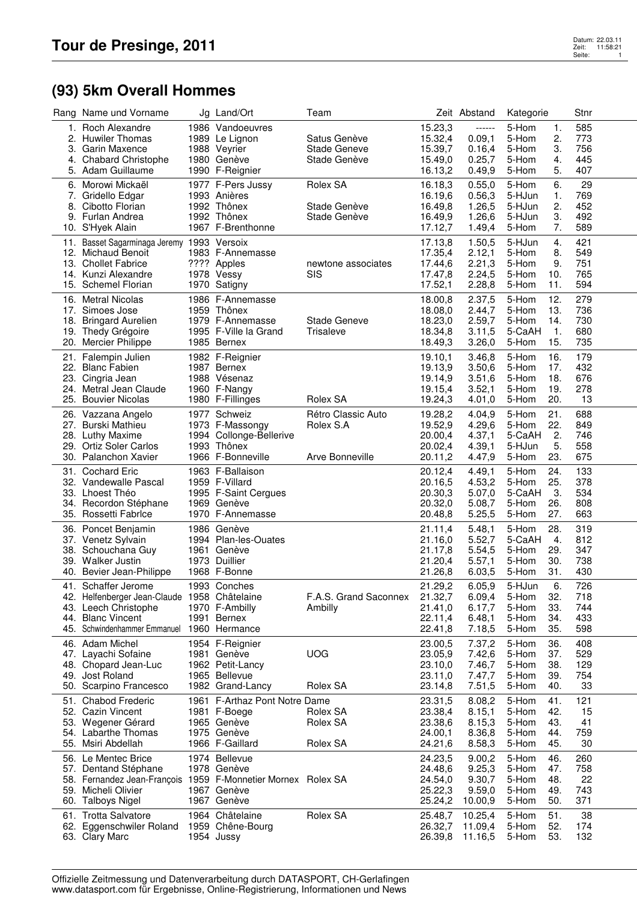## **(93) 5km Overall Hommes**

|     | Rang Name und Vorname                                            | Jg Land/Ort                                   | Team                  |                    | Zeit Abstand     | Kategorie                    | Stnr       |
|-----|------------------------------------------------------------------|-----------------------------------------------|-----------------------|--------------------|------------------|------------------------------|------------|
|     | 1. Roch Alexandre                                                | 1986 Vandoeuvres                              |                       | 15.23,3            | ------           | 5-Hom<br>1.                  | 585        |
|     | 2. Huwiler Thomas                                                | 1989 Le Lignon                                | Satus Genève          | 15.32,4            | 0.09,1           | 2.<br>5-Hom                  | 773        |
|     | 3. Garin Maxence                                                 | 1988 Veyrier                                  | <b>Stade Geneve</b>   | 15.39,7            | 0.16,4           | 5-Hom<br>3.                  | 756        |
|     | 4. Chabard Christophe                                            | 1980 Genève                                   | Stade Genève          | 15.49,0            | 0.25,7           | 5-Hom<br>4.                  | 445        |
|     | 5. Adam Guillaume                                                | 1990 F-Reignier                               |                       | 16.13,2            | 0.49,9           | 5.<br>5-Hom                  | 407        |
|     | 6. Morowi Mickaël                                                | 1977 F-Pers Jussy                             | Rolex SA              | 16.18,3            | 0.55,0           | 6.<br>5-Hom                  | 29         |
|     | 7. Gridello Edgar                                                | 1993 Anières                                  |                       | 16.19,6            | 0.56,3           | 5-HJun<br>1.                 | 769        |
|     | 8. Cibotto Florian                                               | 1992 Thônex                                   | Stade Genève          | 16.49,8            | 1.26,5           | 2.<br>5-HJun                 | 452        |
|     | 9. Furlan Andrea<br>10. S'Hyek Alain                             | 1992 Thônex<br>1967 F-Brenthonne              | Stade Genève          | 16.49,9<br>17.12,7 | 1.26,6<br>1.49,4 | 3.<br>5-HJun<br>5-Hom<br>7.  | 492<br>589 |
|     |                                                                  |                                               |                       |                    |                  |                              |            |
|     | 11. Basset Sagarminaga Jeremy 1993 Versoix<br>12. Michaud Benoit |                                               |                       | 17.13,8            | 1.50,5           | 5-HJun<br>4.<br>5-Hom<br>8.  | 421<br>549 |
|     | 13. Chollet Fabrice                                              | 1983 F-Annemasse<br>???? Apples               | newtone associates    | 17.35,4<br>17.44,6 | 2.12,1<br>2.21,3 | 5-Hom<br>9.                  | 751        |
|     | 14. Kunzi Alexandre                                              | 1978 Vessy                                    | <b>SIS</b>            | 17.47,8            | 2.24,5           | 5-Hom<br>10.                 | 765        |
|     | 15. Schemel Florian                                              | 1970 Satigny                                  |                       | 17.52,1            | 2.28,8           | 5-Hom<br>11.                 | 594        |
|     | 16. Metral Nicolas                                               | 1986 F-Annemasse                              |                       | 18.00,8            | 2.37,5           | 5-Hom<br>12.                 | 279        |
|     | 17. Simoes Jose                                                  | 1959 Thônex                                   |                       | 18.08,0            | 2.44,7           | 13.<br>5-Hom                 | 736        |
|     | 18. Bringard Aurelien                                            | 1979 F-Annemasse                              | <b>Stade Geneve</b>   | 18.23,0            | 2.59,7           | 14.<br>5-Hom                 | 730        |
|     | 19. Thedy Grégoire                                               | 1995 F-Ville la Grand                         | Trisaleve             | 18.34,8            | 3.11,5           | 5-CaAH<br>$\overline{1}$ .   | 680        |
|     | 20. Mercier Philippe                                             | 1985 Bernex                                   |                       | 18.49,3            | 3.26,0           | 15.<br>5-Hom                 | 735        |
|     | 21. Falempin Julien                                              | 1982 F-Reignier                               |                       | 19.10,1            | 3.46,8           | 16.<br>5-Hom                 | 179        |
|     | 22. Blanc Fabien                                                 | 1987 Bernex                                   |                       | 19.13,9            | 3.50,6           | 5-Hom<br>17.                 | 432        |
|     | 23. Cingria Jean                                                 | 1988 Vésenaz                                  |                       | 19.14,9            | 3.51,6           | 5-Hom<br>18.                 | 676        |
|     | 24. Metral Jean Claude                                           | 1960 F-Nangy                                  |                       | 19.15,4            | 3.52,1           | 19.<br>5-Hom                 | 278        |
|     | 25. Bouvier Nicolas                                              | 1980 F-Fillinges                              | Rolex SA              | 19.24,3            | 4.01,0           | 5-Hom<br>20.                 | 13         |
|     | 26. Vazzana Angelo                                               | 1977 Schweiz                                  | Rétro Classic Auto    | 19.28,2            | 4.04,9           | 5-Hom<br>21.                 | 688        |
|     | 27. Burski Mathieu                                               | 1973 F-Massongy                               | Rolex S.A             | 19.52,9            | 4.29,6           | 22.<br>5-Hom                 | 849        |
|     | 28. Luthy Maxime                                                 | 1994 Collonge-Bellerive                       |                       | 20.00,4            | 4.37,1           | 2.<br>5-CaAH                 | 746        |
|     | 29. Ortiz Soler Carlos<br>30. Palanchon Xavier                   | 1993 Thônex<br>1966 F-Bonneville              | Arve Bonneville       | 20.02,4<br>20.11,2 | 4.39,1<br>4.47,9 | 5.<br>5-HJun<br>5-Hom<br>23. | 558<br>675 |
|     |                                                                  |                                               |                       |                    |                  |                              |            |
| 31. | <b>Cochard Eric</b><br>32. Vandewalle Pascal                     | 1963 F-Ballaison<br>1959 F-Villard            |                       | 20.12,4            | 4.49,1           | 5-Hom<br>24.<br>5-Hom<br>25. | 133        |
|     | 33. Lhoest Théo                                                  | 1995 F-Saint Cergues                          |                       | 20.16,5<br>20.30,3 | 4.53,2<br>5.07,0 | 3.<br>5-CaAH                 | 378<br>534 |
|     | 34. Recordon Stéphane                                            | 1969 Genève                                   |                       | 20.32,0            | 5.08,7           | 26.<br>5-Hom                 | 808        |
|     | 35. Rossetti Fabrlce                                             | 1970 F-Annemasse                              |                       | 20.48,8            | 5.25,5           | 27.<br>5-Hom                 | 663        |
|     | 36. Poncet Benjamin                                              | 1986 Genève                                   |                       | 21.11,4            | 5.48,1           | 28.<br>5-Hom                 | 319        |
|     | 37. Venetz Sylvain                                               | 1994 Plan-les-Ouates                          |                       | 21.16,0            | 5.52,7           | 4.<br>5-CaAH                 | 812        |
|     | 38. Schouchana Guy                                               | 1961 Genève                                   |                       | 21.17,8            | 5.54,5           | 5-Hom<br>29.                 | 347        |
|     | 39. Walker Justin                                                | 1973 Duillier                                 |                       | 21.20,4            | 5.57,1           | 5-Hom<br>30.                 | 738        |
|     | 40. Bevier Jean-Philippe                                         | 1968 F-Bonne                                  |                       | 21.26,8            | 6.03,5           | 31.<br>5-Hom                 | 430        |
| 41. | Schaffer Jerome                                                  | 1993 Conches                                  |                       | 21.29,2            | 6.05,9           | 5-HJun<br>6.                 | 726        |
|     | 42. Helfenberger Jean-Claude 1958 Châtelaine                     |                                               | F.A.S. Grand Saconnex | 21.32,7            | 6.09,4           | 5-Hom<br>32.                 | 718        |
|     | 43. Leech Christophe                                             | 1970 F-Ambilly                                | Ambilly               | 21.41,0            | 6.17,7           | 33.<br>5-Hom                 | 744        |
|     | 44. Blanc Vincent                                                | 1991 Bernex                                   |                       | 22.11,4            | 6.48,1           | 5-Hom<br>34.                 | 433        |
|     | 45. Schwindenhammer Emmanuel 1960 Hermance                       |                                               |                       | 22.41,8            | 7.18,5           | 5-Hom<br>35.                 | 598        |
|     | 46. Adam Michel                                                  | 1954 F-Reignier                               |                       | 23.00,5            | 7.37,2           | 36.<br>5-Hom                 | 408        |
|     | 47. Layachi Sofaine                                              | 1981 Genève                                   | <b>UOG</b>            | 23.05,9            | 7.42,6           | 5-Hom<br>37.                 | 529        |
|     | 48. Chopard Jean-Luc<br>49. Jost Roland                          | 1962 Petit-Lancy<br>1965 Bellevue             |                       | 23.10,0<br>23.11,0 | 7.46,7<br>7.47,7 | 5-Hom<br>38.<br>5-Hom<br>39. | 129<br>754 |
|     | 50. Scarpino Francesco                                           | 1982 Grand-Lancy                              | Rolex SA              | 23.14,8            | 7.51,5           | 5-Hom<br>40.                 | 33         |
|     |                                                                  |                                               |                       |                    |                  |                              |            |
|     | 51. Chabod Frederic<br>52. Cazin Vincent                         | 1961 F-Arthaz Pont Notre Dame<br>1981 F-Boege | Rolex SA              | 23.31,5<br>23.38,4 | 8.08,2<br>8.15,1 | 41.<br>5-Hom<br>5-Hom<br>42. | 121<br>15  |
|     | 53. Wegener Gérard                                               | 1965 Genève                                   | Rolex SA              | 23.38,6            | 8.15,3           | 5-Hom<br>43.                 | 41         |
|     | 54. Labarthe Thomas                                              | 1975 Genève                                   |                       | 24.00,1            | 8.36,8           | 5-Hom<br>44.                 | 759        |
|     | 55. Msiri Abdellah                                               | 1966 F-Gaillard                               | Rolex SA              | 24.21,6            | 8.58,3           | 5-Hom<br>45.                 | 30         |
|     | 56. Le Mentec Brice                                              | 1974 Bellevue                                 |                       | 24.23,5            | 9.00,2           | 5-Hom<br>46.                 | 260        |
|     | 57. Dentand Stéphane                                             | 1978 Genève                                   |                       | 24.48,6            | 9.25,3           | 5-Hom<br>47.                 | 758        |
|     | 58. Fernandez Jean-François 1959 F-Monnetier Mornex Rolex SA     |                                               |                       | 24.54,0            | 9.30,7           | 5-Hom<br>48.                 | 22         |
|     | 59. Micheli Olivier                                              | 1967 Genève                                   |                       | 25.22,3            | 9.59,0           | 5-Hom<br>49.                 | 743        |
|     | 60. Talboys Nigel                                                | 1967 Genève                                   |                       | 25.24,2            | 10.00,9          | 50.<br>5-Hom                 | 371        |
|     | 61. Trotta Salvatore                                             | 1964 Châtelaine                               | Rolex SA              | 25.48,7            | 10.25,4          | 51.<br>5-Hom                 | 38         |
|     | 62. Eggenschwiler Roland 1959 Chêne-Bourg                        |                                               |                       | 26.32,7            | 11.09,4          | 5-Hom<br>52.                 | 174        |
|     | 63. Clary Marc                                                   | 1954 Jussy                                    |                       | 26.39,8            | 11.16,5          | 5-Hom<br>53.                 | 132        |

Offizielle Zeitmessung und Datenverarbeitung durch DATASPORT, CH-Gerlafingen www.datasport.com für Ergebnisse, Online-Registrierung, Informationen und News